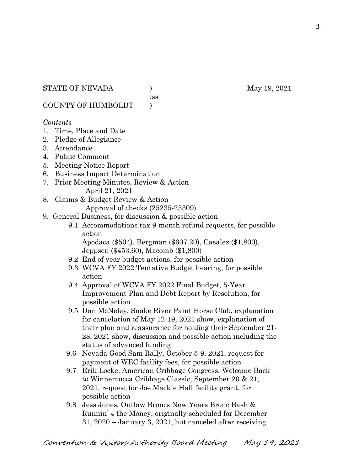:ss

COUNTY OF HUMBOLDT )

#### *Contents*

- 1. Time, Place and Date
- 2. Pledge of Allegiance
- 3. Attendance
- 4. Public Comment
- 5. Meeting Notice Report
- 6. Business Impact Determination
- 7. Prior Meeting Minutes, Review & Action April 21, 2021
- 8. Claims & Budget Review & Action

Approval of checks (25235-25309)

- 9. General Business, for discussion & possible action
	- 9.1 Accommodations tax 9-month refund requests, for possible action

 Apodaca (\$504), Bergman (\$607.20), Casalez (\$1,800), Jeppsen (\$453.60), Macomb (\$1,800)

- 9.2 End of year budget actions, for possible action
- 9.3 WCVA FY 2022 Tentative Budget hearing, for possible action
- 9.4 Approval of WCVA FY 2022 Final Budget, 5-Year Improvement Plan and Debt Report by Resolution, for possible action
- 9.5 Dan McNeley, Snake River Paint Horse Club, explanation for cancelation of May 12-19, 2021 show, explanation of their plan and reassurance for holding their September 21- 28, 2021 show, discussion and possible action including the status of advanced funding
- 9.6 Nevada Good Sam Rally, October 5-9, 2021, request for payment of WEC facility fees, for possible action
- 9.7 Erik Locke, American Cribbage Congress, Welcome Back to Winnemucca Cribbage Classic, September 20 & 21, 2021, request for Joe Mackie Hall facility grant, for possible action
- 9.8 Jess Jones, Outlaw Broncs New Years Bronc Bash & Runnin' 4 the Money, originally scheduled for December 31, 2020 – January 3, 2021, but canceled after receiving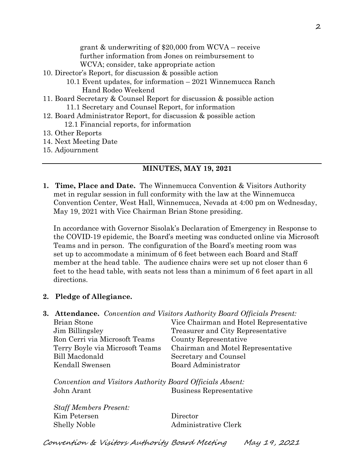grant & underwriting of \$20,000 from WCVA – receive further information from Jones on reimbursement to WCVA; consider, take appropriate action

- 10. Director's Report, for discussion & possible action
	- 10.1 Event updates, for information 2021 Winnemucca Ranch Hand Rodeo Weekend
- 11. Board Secretary & Counsel Report for discussion & possible action 11.1 Secretary and Counsel Report, for information
- 12. Board Administrator Report, for discussion & possible action 12.1 Financial reports, for information
- 13. Other Reports
- 14. Next Meeting Date
- 15. Adjournment

#### **MINUTES, MAY 19, 2021**

**1. Time, Place and Date.** The Winnemucca Convention & Visitors Authority met in regular session in full conformity with the law at the Winnemucca Convention Center, West Hall, Winnemucca, Nevada at 4:00 pm on Wednesday, May 19, 2021 with Vice Chairman Brian Stone presiding.

In accordance with Governor Sisolak's Declaration of Emergency in Response to the COVID-19 epidemic, the Board's meeting was conducted online via Microsoft Teams and in person. The configuration of the Board's meeting room was set up to accommodate a minimum of 6 feet between each Board and Staff member at the head table. The audience chairs were set up not closer than 6 feet to the head table, with seats not less than a minimum of 6 feet apart in all directions.

#### **2. Pledge of Allegiance.**

**3. Attendance.** *Convention and Visitors Authority Board Officials Present:*

| Brian Stone                     | Vice Chairman and Hotel Representative |
|---------------------------------|----------------------------------------|
| Jim Billingsley                 | Treasurer and City Representative      |
| Ron Cerri via Microsoft Teams   | County Representative                  |
| Terry Boyle via Microsoft Teams | Chairman and Motel Representative      |
| Bill Macdonald                  | Secretary and Counsel                  |
| Kendall Swensen                 | Board Administrator                    |
|                                 |                                        |

*Convention and Visitors Authority Board Officials Absent:* John Arant Business Representative

*Staff Members Present:* Kim Petersen Director Shelly Noble Administrative Clerk

Convention & Visitors Authority Board Meeting May 19, 2021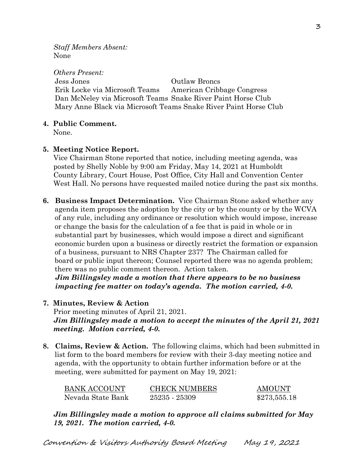*Staff Members Absent:* None

*Others Present:* Jess Jones Outlaw Broncs Erik Locke via Microsoft Teams American Cribbage Congress Dan McNeley via Microsoft Teams Snake River Paint Horse Club Mary Anne Black via Microsoft Teams Snake River Paint Horse Club

## **4. Public Comment.**

None.

## **5. Meeting Notice Report.**

Vice Chairman Stone reported that notice, including meeting agenda, was posted by Shelly Noble by 9:00 am Friday, May 14, 2021 at Humboldt County Library, Court House, Post Office, City Hall and Convention Center West Hall. No persons have requested mailed notice during the past six months.

**6. Business Impact Determination.** Vice Chairman Stone asked whether any agenda item proposes the adoption by the city or by the county or by the WCVA of any rule, including any ordinance or resolution which would impose, increase or change the basis for the calculation of a fee that is paid in whole or in substantial part by businesses, which would impose a direct and significant economic burden upon a business or directly restrict the formation or expansion of a business, pursuant to NRS Chapter 237? The Chairman called for board or public input thereon; Counsel reported there was no agenda problem; there was no public comment thereon. Action taken.

 *Jim Billingsley made a motion that there appears to be no business impacting fee matter on today's agenda. The motion carried, 4-0.*

**7. Minutes, Review & Action** 

Prior meeting minutes of April 21, 2021. *Jim Billingsley made a motion to accept the minutes of the April 21, 2021 meeting. Motion carried, 4-0.*

**8. Claims, Review & Action.** The following claims, which had been submitted in list form to the board members for review with their 3-day meeting notice and agenda, with the opportunity to obtain further information before or at the meeting, were submitted for payment on May 19, 2021:

| <b>BANK ACCOUNT</b> | <b>CHECK NUMBERS</b> | <b>AMOUNT</b> |
|---------------------|----------------------|---------------|
| Nevada State Bank   | 25235 - 25309        | \$273,555.18  |

*Jim Billingsley made a motion to approve all claims submitted for May 19, 2021. The motion carried, 4-0.*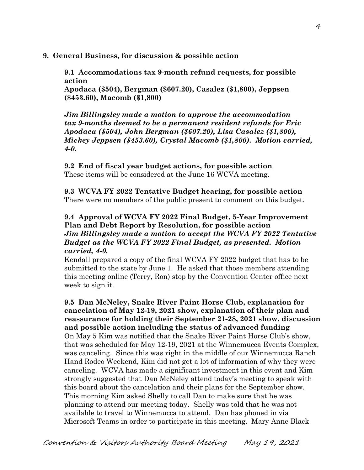## **9. General Business, for discussion & possible action**

**9.1 Accommodations tax 9-month refund requests, for possible action**

**Apodaca (\$504), Bergman (\$607.20), Casalez (\$1,800), Jeppsen (\$453.60), Macomb (\$1,800)**

*Jim Billingsley made a motion to approve the accommodation tax 9-months deemed to be a permanent resident refunds for Eric Apodaca (\$504), John Bergman (\$607.20), Lisa Casalez (\$1,800), Mickey Jeppsen (\$453.60), Crystal Macomb (\$1,800). Motion carried, 4-0.* 

**9.2 End of fiscal year budget actions, for possible action** These items will be considered at the June 16 WCVA meeting.

**9.3 WCVA FY 2022 Tentative Budget hearing, for possible action**  There were no members of the public present to comment on this budget.

## **9.4 Approval of WCVA FY 2022 Final Budget, 5-Year Improvement Plan and Debt Report by Resolution, for possible action** *Jim Billingsley made a motion to accept the WCVA FY 2022 Tentative Budget as the WCVA FY 2022 Final Budget, as presented. Motion carried, 4-0.*

Kendall prepared a copy of the final WCVA FY 2022 budget that has to be submitted to the state by June 1. He asked that those members attending this meeting online (Terry, Ron) stop by the Convention Center office next week to sign it.

**9.5 Dan McNeley, Snake River Paint Horse Club, explanation for cancelation of May 12-19, 2021 show, explanation of their plan and reassurance for holding their September 21-28, 2021 show, discussion and possible action including the status of advanced funding** On May 5 Kim was notified that the Snake River Paint Horse Club's show, that was scheduled for May 12-19, 2021 at the Winnemucca Events Complex, was canceling. Since this was right in the middle of our Winnemucca Ranch Hand Rodeo Weekend, Kim did not get a lot of information of why they were canceling. WCVA has made a significant investment in this event and Kim strongly suggested that Dan McNeley attend today's meeting to speak with this board about the cancelation and their plans for the September show. This morning Kim asked Shelly to call Dan to make sure that he was planning to attend our meeting today. Shelly was told that he was not available to travel to Winnemucca to attend. Dan has phoned in via Microsoft Teams in order to participate in this meeting. Mary Anne Black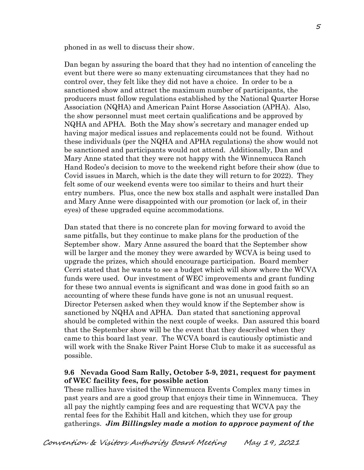phoned in as well to discuss their show.

Dan began by assuring the board that they had no intention of canceling the event but there were so many extenuating circumstances that they had no control over, they felt like they did not have a choice. In order to be a sanctioned show and attract the maximum number of participants, the producers must follow regulations established by the National Quarter Horse Association (NQHA) and American Paint Horse Association (APHA). Also, the show personnel must meet certain qualifications and be approved by NQHA and APHA. Both the May show's secretary and manager ended up having major medical issues and replacements could not be found. Without these individuals (per the NQHA and APHA regulations) the show would not be sanctioned and participants would not attend. Additionally, Dan and Mary Anne stated that they were not happy with the Winnemucca Ranch Hand Rodeo's decision to move to the weekend right before their show (due to Covid issues in March, which is the date they will return to for 2022). They felt some of our weekend events were too similar to theirs and hurt their entry numbers. Plus, once the new box stalls and asphalt were installed Dan and Mary Anne were disappointed with our promotion (or lack of, in their eyes) of these upgraded equine accommodations.

Dan stated that there is no concrete plan for moving forward to avoid the same pitfalls, but they continue to make plans for the production of the September show. Mary Anne assured the board that the September show will be larger and the money they were awarded by WCVA is being used to upgrade the prizes, which should encourage participation. Board member Cerri stated that he wants to see a budget which will show where the WCVA funds were used. Our investment of WEC improvements and grant funding for these two annual events is significant and was done in good faith so an accounting of where these funds have gone is not an unusual request. Director Petersen asked when they would know if the September show is sanctioned by NQHA and APHA. Dan stated that sanctioning approval should be completed within the next couple of weeks. Dan assured this board that the September show will be the event that they described when they came to this board last year. The WCVA board is cautiously optimistic and will work with the Snake River Paint Horse Club to make it as successful as possible.

## **9.6 Nevada Good Sam Rally, October 5-9, 2021, request for payment of WEC facility fees, for possible action**

These rallies have visited the Winnemucca Events Complex many times in past years and are a good group that enjoys their time in Winnemucca. They all pay the nightly camping fees and are requesting that WCVA pay the rental fees for the Exhibit Hall and kitchen, which they use for group gatherings. *Jim Billingsley made a motion to approve payment of the*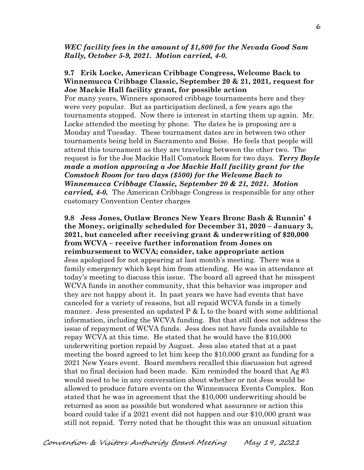#### *WEC facility fees in the amount of \$1,800 for the Nevada Good Sam Rally, October 5-9, 2021. Motion carried, 4-0.*

#### **9.7 Erik Locke, American Cribbage Congress, Welcome Back to Winnemucca Cribbage Classic, September 20 & 21, 2021, request for Joe Mackie Hall facility grant, for possible action**

For many years, Winners sponsored cribbage tournaments here and they were very popular. But as participation declined, a few years ago the tournaments stopped. Now there is interest in starting them up again. Mr. Locke attended the meeting by phone. The dates he is proposing are a Monday and Tuesday. These tournament dates are in between two other tournaments being held in Sacramento and Boise. He feels that people will attend this tournament as they are traveling between the other two. The request is for the Joe Mackie Hall Comstock Room for two days. *Terry Boyle made a motion approving a Joe Mackie Hall facility grant for the Comstock Room for two days (\$500) for the Welcome Back to Winnemucca Cribbage Classic, September 20 & 21, 2021. Motion carried, 4-0.* The American Cribbage Congress is responsible for any other customary Convention Center charges

**9.8 Jess Jones, Outlaw Broncs New Years Bronc Bash & Runnin' 4 the Money, originally scheduled for December 31, 2020 – January 3, 2021, but canceled after receiving grant & underwriting of \$20,000 from WCVA – receive further information from Jones on reimbursement to WCVA; consider, take appropriate action** Jess apologized for not appearing at last month's meeting. There was a family emergency which kept him from attending. He was in attendance at today's meeting to discuss this issue. The board all agreed that he misspent WCVA funds in another community, that this behavior was improper and they are not happy about it. In past years we have had events that have canceled for a variety of reasons, but all repaid WCVA funds in a timely manner. Jess presented an updated  $P \& L$  to the board with some additional information, including the WCVA funding. But that still does not address the issue of repayment of WCVA funds. Jess does not have funds available to repay WCVA at this time. He stated that he would have the \$10,000 underwriting portion repaid by August. Jess also stated that at a past meeting the board agreed to let him keep the \$10,000 grant as funding for a 2021 New Years event. Board members recalled this discussion but agreed that no final decision had been made. Kim reminded the board that  $Ag \#3$ would need to be in any conversation about whether or not Jess would be allowed to produce future events on the Winnemucca Events Complex. Ron stated that he was in agreement that the \$10,000 underwriting should be returned as soon as possible but wondered what assurance or action this board could take if a 2021 event did not happen and our \$10,000 grant was still not repaid. Terry noted that he thought this was an unusual situation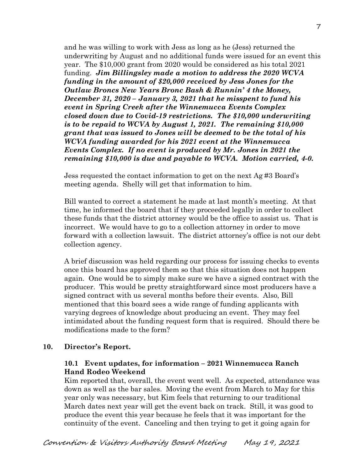and he was willing to work with Jess as long as he (Jess) returned the underwriting by August and no additional funds were issued for an event this year. The \$10,000 grant from 2020 would be considered as his total 2021 funding. *Jim Billingsley made a motion to address the 2020 WCVA funding in the amount of \$20,000 received by Jess Jones for the Outlaw Broncs New Years Bronc Bash & Runnin' 4 the Money, December 31, 2020 – January 3, 2021 that he misspent to fund his event in Spring Creek after the Winnemucca Events Complex closed down due to Covid-19 restrictions. The \$10,000 underwriting is to be repaid to WCVA by August 1, 2021. The remaining \$10,000 grant that was issued to Jones will be deemed to be the total of his WCVA funding awarded for his 2021 event at the Winnemucca Events Complex. If no event is produced by Mr. Jones in 2021 the remaining \$10,000 is due and payable to WCVA. Motion carried, 4-0.* 

Jess requested the contact information to get on the next Ag #3 Board's meeting agenda. Shelly will get that information to him.

Bill wanted to correct a statement he made at last month's meeting. At that time, he informed the board that if they proceeded legally in order to collect these funds that the district attorney would be the office to assist us. That is incorrect. We would have to go to a collection attorney in order to move forward with a collection lawsuit. The district attorney's office is not our debt collection agency.

A brief discussion was held regarding our process for issuing checks to events once this board has approved them so that this situation does not happen again. One would be to simply make sure we have a signed contract with the producer. This would be pretty straightforward since most producers have a signed contract with us several months before their events. Also, Bill mentioned that this board sees a wide range of funding applicants with varying degrees of knowledge about producing an event. They may feel intimidated about the funding request form that is required. Should there be modifications made to the form?

## **10. Director's Report.**

## **10.1 Event updates, for information – 2021 Winnemucca Ranch Hand Rodeo Weekend**

Kim reported that, overall, the event went well. As expected, attendance was down as well as the bar sales. Moving the event from March to May for this year only was necessary, but Kim feels that returning to our traditional March dates next year will get the event back on track. Still, it was good to produce the event this year because he feels that it was important for the continuity of the event. Canceling and then trying to get it going again for

7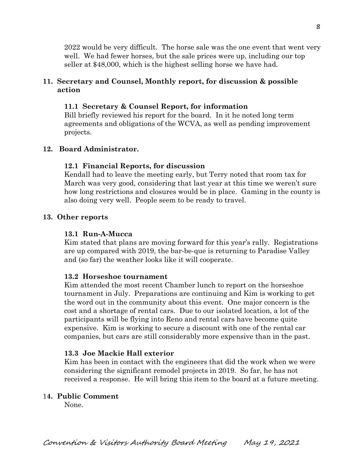2022 would be very difficult. The horse sale was the one event that went very well. We had fewer horses, but the sale prices were up, including our top seller at \$48,000, which is the highest selling horse we have had.

## **11. Secretary and Counsel, Monthly report, for discussion & possible action**

## **11.1 Secretary & Counsel Report, for information**

Bill briefly reviewed his report for the board. In it he noted long term agreements and obligations of the WCVA, as well as pending improvement projects.

## **12. Board Administrator.**

## **12.1 Financial Reports, for discussion**

Kendall had to leave the meeting early, but Terry noted that room tax for March was very good, considering that last year at this time we weren't sure how long restrictions and closures would be in place. Gaming in the county is also doing very well. People seem to be ready to travel.

## **13. Other reports**

## **13.1 Run-A-Mucca**

Kim stated that plans are moving forward for this year's rally. Registrations are up compared with 2019, the bar-be-que is returning to Paradise Valley and (so far) the weather looks like it will cooperate.

## **13.2 Horseshoe tournament**

Kim attended the most recent Chamber lunch to report on the horseshoe tournament in July. Preparations are continuing and Kim is working to get the word out in the community about this event. One major concern is the cost and a shortage of rental cars. Due to our isolated location, a lot of the participants will be flying into Reno and rental cars have become quite expensive. Kim is working to secure a discount with one of the rental car companies, but cars are still considerably more expensive than in the past.

## **13.3 Joe Mackie Hall exterior**

Kim has been in contact with the engineers that did the work when we were considering the significant remodel projects in 2019. So far, he has not received a response. He will bring this item to the board at a future meeting.

# 1**4. Public Comment**

None.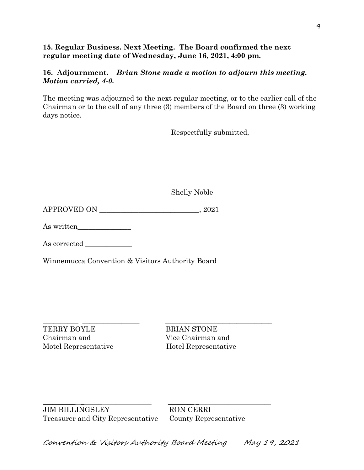## **15. Regular Business. Next Meeting. The Board confirmed the next regular meeting date of Wednesday, June 16, 2021, 4:00 pm.**

## **16. Adjournment.** *Brian Stone made a motion to adjourn this meeting. Motion carried, 4-0.*

The meeting was adjourned to the next regular meeting, or to the earlier call of the Chairman or to the call of any three (3) members of the Board on three (3) working days notice.

Respectfully submitted,

Shelly Noble

APPROVED ON  $, 2021$ 

As written\_\_\_\_\_\_\_\_\_\_\_\_\_\_\_

As corrected

Winnemucca Convention & Visitors Authority Board

TERRY BOYLE BRIAN STONE Chairman and Vice Chairman and Motel Representative Hotel Representative

 $\frac{1}{2}$  ,  $\frac{1}{2}$  ,  $\frac{1}{2}$  ,  $\frac{1}{2}$  ,  $\frac{1}{2}$  ,  $\frac{1}{2}$  ,  $\frac{1}{2}$  ,  $\frac{1}{2}$  ,  $\frac{1}{2}$  ,  $\frac{1}{2}$  ,  $\frac{1}{2}$  ,  $\frac{1}{2}$  ,  $\frac{1}{2}$  ,  $\frac{1}{2}$  ,  $\frac{1}{2}$  ,  $\frac{1}{2}$  ,  $\frac{1}{2}$  ,  $\frac{1}{2}$  ,  $\frac{1$ 

\_\_\_\_\_\_\_\_\_\_ \_ \_\_\_\_\_\_\_\_\_\_\_\_\_\_\_ \_\_\_\_\_\_\_\_ \_\_\_\_\_\_\_\_\_\_\_\_\_\_\_\_\_\_\_\_\_\_\_ JIM BILLINGSLEY RON CERRI Treasurer and City Representative County Representative